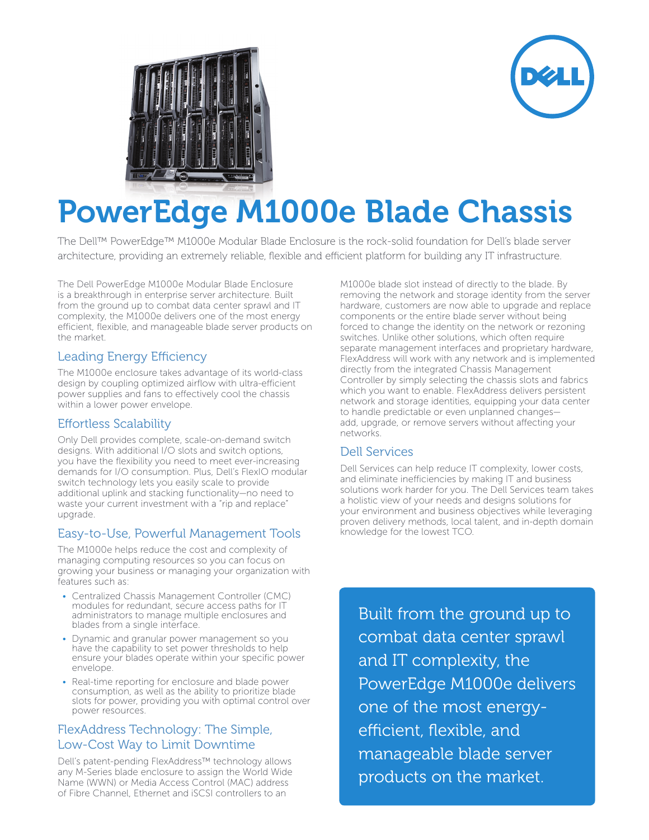



# PowerEdge M1000e Blade Chassis

The Dell™ PowerEdge™ M1000e Modular Blade Enclosure is the rock-solid foundation for Dell's blade server architecture, providing an extremely reliable, flexible and efficient platform for building any IT infrastructure.

The Dell PowerEdge M1000e Modular Blade Enclosure is a breakthrough in enterprise server architecture. Built from the ground up to combat data center sprawl and IT complexity, the M1000e delivers one of the most energy efficient, flexible, and manageable blade server products on the market.

#### Leading Energy Efficiency

The M1000e enclosure takes advantage of its world-class design by coupling optimized airflow with ultra-efficient power supplies and fans to effectively cool the chassis within a lower power envelope.

### Effortless Scalability

Only Dell provides complete, scale-on-demand switch designs. With additional I/O slots and switch options, you have the flexibility you need to meet ever-increasing demands for I/O consumption. Plus, Dell's FlexIO modular switch technology lets you easily scale to provide additional uplink and stacking functionality—no need to waste your current investment with a "rip and replace" upgrade.

# Easy-to-Use, Powerful Management Tools

The M1000e helps reduce the cost and complexity of managing computing resources so you can focus on growing your business or managing your organization with features such as:

- Centralized Chassis Management Controller (CMC) modules for redundant, secure access paths for IT administrators to manage multiple enclosures and blades from a single interface.
- Dynamic and granular power management so you have the capability to set power thresholds to help ensure your blades operate within your specific power envelope.
- Real-time reporting for enclosure and blade power consumption, as well as the ability to prioritize blade slots for power, providing you with optimal control over power resources.

## FlexAddress Technology: The Simple, Low-Cost Way to Limit Downtime

Dell's patent-pending FlexAddress™ technology allows any M-Series blade enclosure to assign the World Wide Name (WWN) or Media Access Control (MAC) address of Fibre Channel, Ethernet and iSCSI controllers to an

M1000e blade slot instead of directly to the blade. By removing the network and storage identity from the server hardware, customers are now able to upgrade and replace components or the entire blade server without being forced to change the identity on the network or rezoning switches. Unlike other solutions, which often require separate management interfaces and proprietary hardware, FlexAddress will work with any network and is implemented directly from the integrated Chassis Management Controller by simply selecting the chassis slots and fabrics which you want to enable. FlexAddress delivers persistent network and storage identities, equipping your data center to handle predictable or even unplanned changes add, upgrade, or remove servers without affecting your networks.

# Dell Services

Dell Services can help reduce IT complexity, lower costs, and eliminate inefficiencies by making IT and business solutions work harder for you. The Dell Services team takes a holistic view of your needs and designs solutions for your environment and business objectives while leveraging proven delivery methods, local talent, and in-depth domain knowledge for the lowest TCO.

Built from the ground up to combat data center sprawl and IT complexity, the PowerEdge M1000e delivers one of the most energyefficient, flexible, and manageable blade server products on the market.